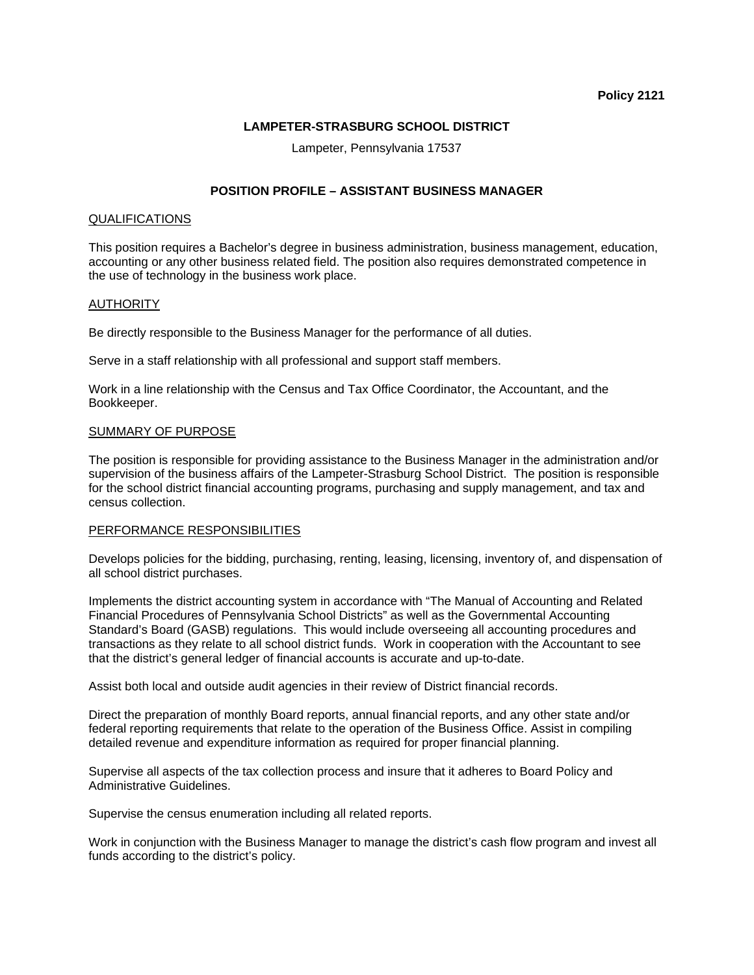## **LAMPETER-STRASBURG SCHOOL DISTRICT**

Lampeter, Pennsylvania 17537

# **POSITION PROFILE – ASSISTANT BUSINESS MANAGER**

## QUALIFICATIONS

This position requires a Bachelor's degree in business administration, business management, education, accounting or any other business related field. The position also requires demonstrated competence in the use of technology in the business work place.

## **AUTHORITY**

Be directly responsible to the Business Manager for the performance of all duties.

Serve in a staff relationship with all professional and support staff members.

Work in a line relationship with the Census and Tax Office Coordinator, the Accountant, and the Bookkeeper.

## SUMMARY OF PURPOSE

The position is responsible for providing assistance to the Business Manager in the administration and/or supervision of the business affairs of the Lampeter-Strasburg School District. The position is responsible for the school district financial accounting programs, purchasing and supply management, and tax and census collection.

#### PERFORMANCE RESPONSIBILITIES

Develops policies for the bidding, purchasing, renting, leasing, licensing, inventory of, and dispensation of all school district purchases.

Implements the district accounting system in accordance with "The Manual of Accounting and Related Financial Procedures of Pennsylvania School Districts" as well as the Governmental Accounting Standard's Board (GASB) regulations. This would include overseeing all accounting procedures and transactions as they relate to all school district funds. Work in cooperation with the Accountant to see that the district's general ledger of financial accounts is accurate and up-to-date.

Assist both local and outside audit agencies in their review of District financial records.

Direct the preparation of monthly Board reports, annual financial reports, and any other state and/or federal reporting requirements that relate to the operation of the Business Office. Assist in compiling detailed revenue and expenditure information as required for proper financial planning.

Supervise all aspects of the tax collection process and insure that it adheres to Board Policy and Administrative Guidelines.

Supervise the census enumeration including all related reports.

Work in conjunction with the Business Manager to manage the district's cash flow program and invest all funds according to the district's policy.